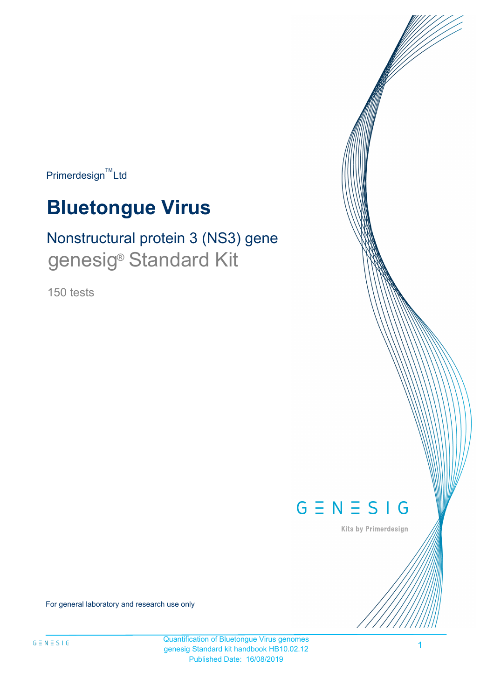$Primerdesign^{\text{TM}}$ Ltd

# **Bluetongue Virus**

# Nonstructural protein 3 (NS3) gene genesig<sup>®</sup> Standard Kit

150 tests



Kits by Primerdesign

For general laboratory and research use only

1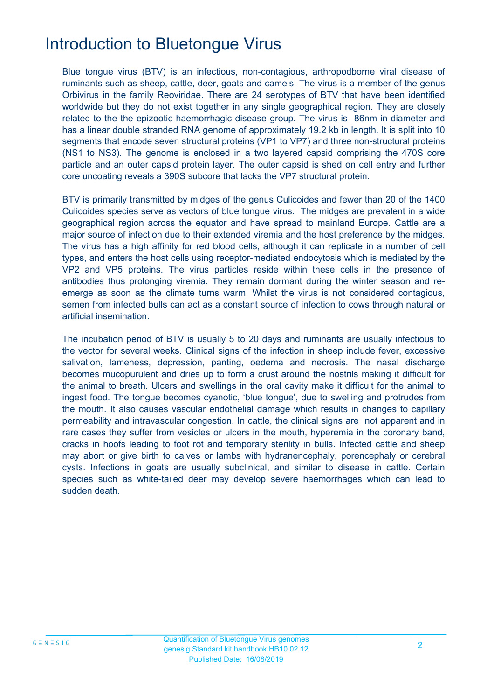# Introduction to Bluetongue Virus

Blue tongue virus (BTV) is an infectious, non-contagious, arthropodborne viral disease of ruminants such as sheep, cattle, deer, goats and camels. The virus is a member of the genus Orbivirus in the family Reoviridae. There are 24 serotypes of BTV that have been identified worldwide but they do not exist together in any single geographical region. They are closely related to the the epizootic haemorrhagic disease group. The virus is 86nm in diameter and has a linear double stranded RNA genome of approximately 19.2 kb in length. It is split into 10 segments that encode seven structural proteins (VP1 to VP7) and three non-structural proteins (NS1 to NS3). The genome is enclosed in a two layered capsid comprising the 470S core particle and an outer capsid protein layer. The outer capsid is shed on cell entry and further core uncoating reveals a 390S subcore that lacks the VP7 structural protein.

BTV is primarily transmitted by midges of the genus Culicoides and fewer than 20 of the 1400 Culicoides species serve as vectors of blue tongue virus. The midges are prevalent in a wide geographical region across the equator and have spread to mainland Europe. Cattle are a major source of infection due to their extended viremia and the host preference by the midges. The virus has a high affinity for red blood cells, although it can replicate in a number of cell types, and enters the host cells using receptor-mediated endocytosis which is mediated by the VP2 and VP5 proteins. The virus particles reside within these cells in the presence of antibodies thus prolonging viremia. They remain dormant during the winter season and reemerge as soon as the climate turns warm. Whilst the virus is not considered contagious, semen from infected bulls can act as a constant source of infection to cows through natural or artificial insemination.

The incubation period of BTV is usually 5 to 20 days and ruminants are usually infectious to the vector for several weeks. Clinical signs of the infection in sheep include fever, excessive salivation, lameness, depression, panting, oedema and necrosis. The nasal discharge becomes mucopurulent and dries up to form a crust around the nostrils making it difficult for the animal to breath. Ulcers and swellings in the oral cavity make it difficult for the animal to ingest food. The tongue becomes cyanotic, 'blue tongue', due to swelling and protrudes from the mouth. It also causes vascular endothelial damage which results in changes to capillary permeability and intravascular congestion. In cattle, the clinical signs are not apparent and in rare cases they suffer from vesicles or ulcers in the mouth, hyperemia in the coronary band, cracks in hoofs leading to foot rot and temporary sterility in bulls. Infected cattle and sheep may abort or give birth to calves or lambs with hydranencephaly, porencephaly or cerebral cysts. Infections in goats are usually subclinical, and similar to disease in cattle. Certain species such as white-tailed deer may develop severe haemorrhages which can lead to sudden death.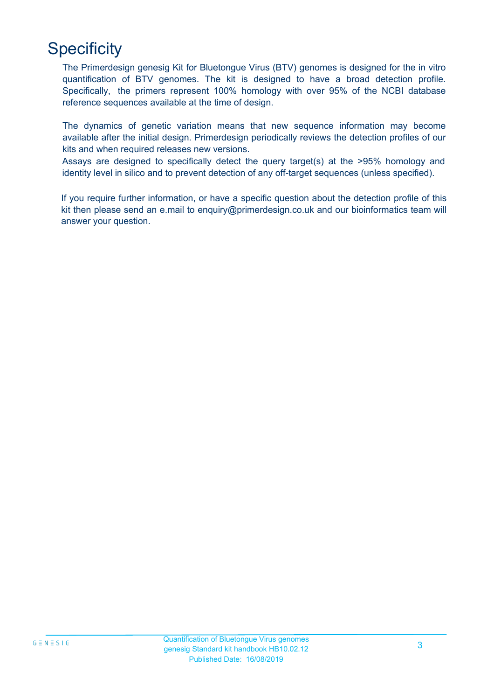# **Specificity**

The Primerdesign genesig Kit for Bluetongue Virus (BTV) genomes is designed for the in vitro quantification of BTV genomes. The kit is designed to have a broad detection profile. Specifically, the primers represent 100% homology with over 95% of the NCBI database reference sequences available at the time of design.

The dynamics of genetic variation means that new sequence information may become available after the initial design. Primerdesign periodically reviews the detection profiles of our kits and when required releases new versions.

Assays are designed to specifically detect the query target(s) at the >95% homology and identity level in silico and to prevent detection of any off-target sequences (unless specified).

If you require further information, or have a specific question about the detection profile of this kit then please send an e.mail to enquiry@primerdesign.co.uk and our bioinformatics team will answer your question.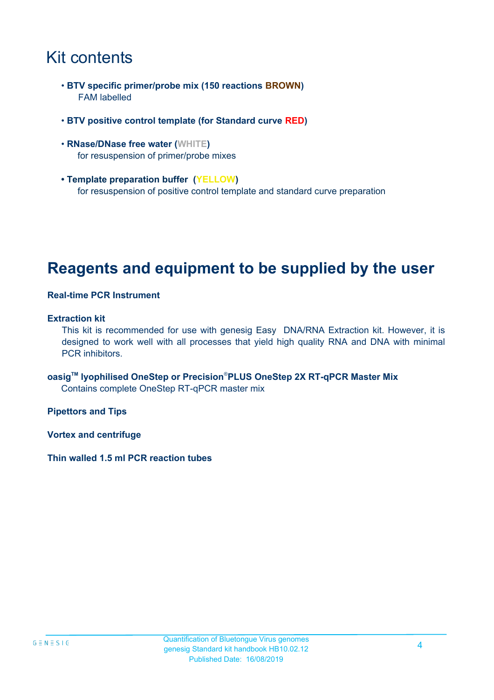# Kit contents

- **BTV specific primer/probe mix (150 reactions BROWN)** FAM labelled
- **BTV positive control template (for Standard curve RED)**
- **RNase/DNase free water (WHITE)** for resuspension of primer/probe mixes
- **Template preparation buffer (YELLOW)** for resuspension of positive control template and standard curve preparation

## **Reagents and equipment to be supplied by the user**

#### **Real-time PCR Instrument**

#### **Extraction kit**

This kit is recommended for use with genesig Easy DNA/RNA Extraction kit. However, it is designed to work well with all processes that yield high quality RNA and DNA with minimal PCR inhibitors.

**oasigTM lyophilised OneStep or Precision**®**PLUS OneStep 2X RT-qPCR Master Mix** Contains complete OneStep RT-qPCR master mix

**Pipettors and Tips**

**Vortex and centrifuge**

**Thin walled 1.5 ml PCR reaction tubes**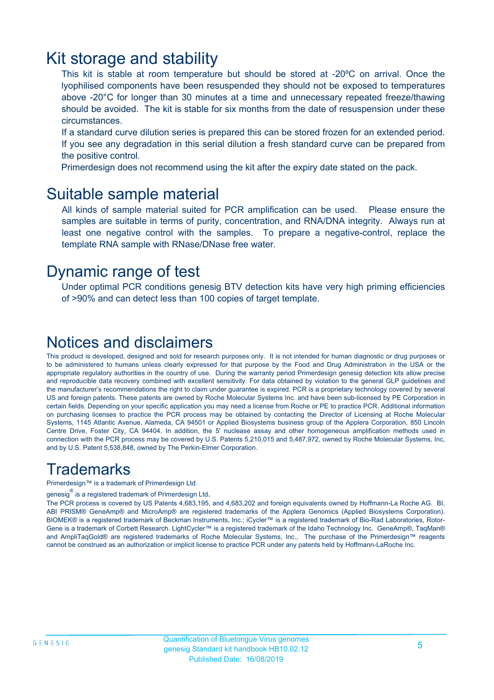### Kit storage and stability

This kit is stable at room temperature but should be stored at -20ºC on arrival. Once the lyophilised components have been resuspended they should not be exposed to temperatures above -20°C for longer than 30 minutes at a time and unnecessary repeated freeze/thawing should be avoided. The kit is stable for six months from the date of resuspension under these circumstances.

If a standard curve dilution series is prepared this can be stored frozen for an extended period. If you see any degradation in this serial dilution a fresh standard curve can be prepared from the positive control.

Primerdesign does not recommend using the kit after the expiry date stated on the pack.

### Suitable sample material

All kinds of sample material suited for PCR amplification can be used. Please ensure the samples are suitable in terms of purity, concentration, and RNA/DNA integrity. Always run at least one negative control with the samples. To prepare a negative-control, replace the template RNA sample with RNase/DNase free water.

### Dynamic range of test

Under optimal PCR conditions genesig BTV detection kits have very high priming efficiencies of >90% and can detect less than 100 copies of target template.

### Notices and disclaimers

This product is developed, designed and sold for research purposes only. It is not intended for human diagnostic or drug purposes or to be administered to humans unless clearly expressed for that purpose by the Food and Drug Administration in the USA or the appropriate regulatory authorities in the country of use. During the warranty period Primerdesign genesig detection kits allow precise and reproducible data recovery combined with excellent sensitivity. For data obtained by violation to the general GLP guidelines and the manufacturer's recommendations the right to claim under guarantee is expired. PCR is a proprietary technology covered by several US and foreign patents. These patents are owned by Roche Molecular Systems Inc. and have been sub-licensed by PE Corporation in certain fields. Depending on your specific application you may need a license from Roche or PE to practice PCR. Additional information on purchasing licenses to practice the PCR process may be obtained by contacting the Director of Licensing at Roche Molecular Systems, 1145 Atlantic Avenue, Alameda, CA 94501 or Applied Biosystems business group of the Applera Corporation, 850 Lincoln Centre Drive, Foster City, CA 94404. In addition, the 5' nuclease assay and other homogeneous amplification methods used in connection with the PCR process may be covered by U.S. Patents 5,210,015 and 5,487,972, owned by Roche Molecular Systems, Inc, and by U.S. Patent 5,538,848, owned by The Perkin-Elmer Corporation.

### **Trademarks**

Primerdesign™ is a trademark of Primerdesign Ltd.

genesig $^\circledR$  is a registered trademark of Primerdesign Ltd.

The PCR process is covered by US Patents 4,683,195, and 4,683,202 and foreign equivalents owned by Hoffmann-La Roche AG. BI, ABI PRISM® GeneAmp® and MicroAmp® are registered trademarks of the Applera Genomics (Applied Biosystems Corporation). BIOMEK® is a registered trademark of Beckman Instruments, Inc.; iCycler™ is a registered trademark of Bio-Rad Laboratories, Rotor-Gene is a trademark of Corbett Research. LightCycler™ is a registered trademark of the Idaho Technology Inc. GeneAmp®, TaqMan® and AmpliTaqGold® are registered trademarks of Roche Molecular Systems, Inc., The purchase of the Primerdesign™ reagents cannot be construed as an authorization or implicit license to practice PCR under any patents held by Hoffmann-LaRoche Inc.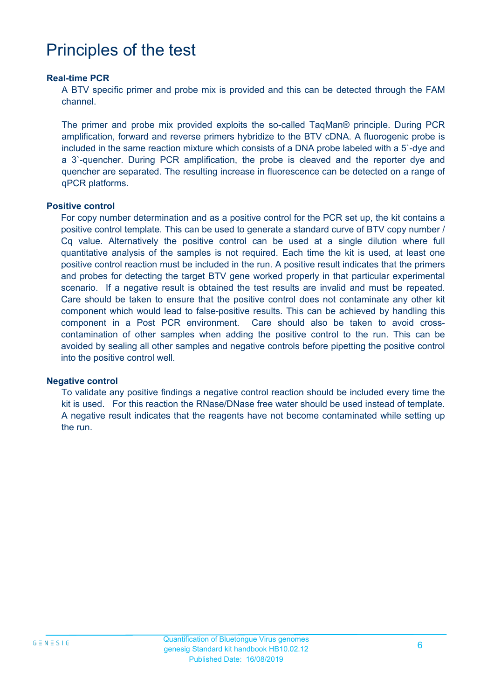# Principles of the test

#### **Real-time PCR**

A BTV specific primer and probe mix is provided and this can be detected through the FAM channel.

The primer and probe mix provided exploits the so-called TaqMan® principle. During PCR amplification, forward and reverse primers hybridize to the BTV cDNA. A fluorogenic probe is included in the same reaction mixture which consists of a DNA probe labeled with a 5`-dye and a 3`-quencher. During PCR amplification, the probe is cleaved and the reporter dye and quencher are separated. The resulting increase in fluorescence can be detected on a range of qPCR platforms.

#### **Positive control**

For copy number determination and as a positive control for the PCR set up, the kit contains a positive control template. This can be used to generate a standard curve of BTV copy number / Cq value. Alternatively the positive control can be used at a single dilution where full quantitative analysis of the samples is not required. Each time the kit is used, at least one positive control reaction must be included in the run. A positive result indicates that the primers and probes for detecting the target BTV gene worked properly in that particular experimental scenario. If a negative result is obtained the test results are invalid and must be repeated. Care should be taken to ensure that the positive control does not contaminate any other kit component which would lead to false-positive results. This can be achieved by handling this component in a Post PCR environment. Care should also be taken to avoid crosscontamination of other samples when adding the positive control to the run. This can be avoided by sealing all other samples and negative controls before pipetting the positive control into the positive control well.

#### **Negative control**

To validate any positive findings a negative control reaction should be included every time the kit is used. For this reaction the RNase/DNase free water should be used instead of template. A negative result indicates that the reagents have not become contaminated while setting up the run.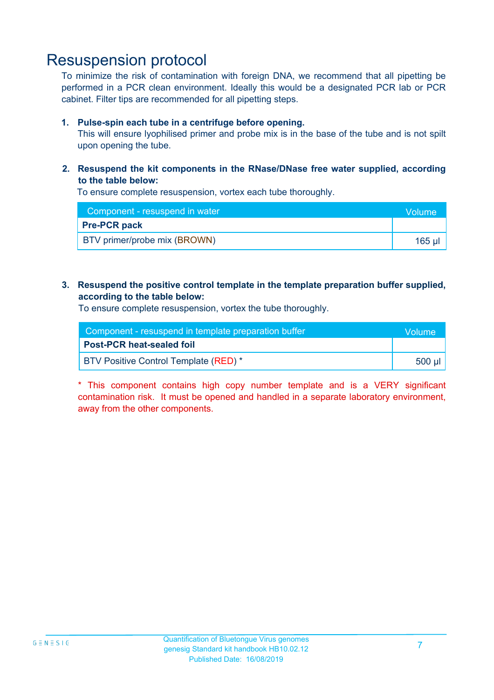### Resuspension protocol

To minimize the risk of contamination with foreign DNA, we recommend that all pipetting be performed in a PCR clean environment. Ideally this would be a designated PCR lab or PCR cabinet. Filter tips are recommended for all pipetting steps.

#### **1. Pulse-spin each tube in a centrifuge before opening.**

This will ensure lyophilised primer and probe mix is in the base of the tube and is not spilt upon opening the tube.

**2. Resuspend the kit components in the RNase/DNase free water supplied, according to the table below:**

To ensure complete resuspension, vortex each tube thoroughly.

| Component - resuspend in water      | <b>Volume</b> |
|-------------------------------------|---------------|
| <b>Pre-PCR pack</b>                 |               |
| <b>BTV</b> primer/probe mix (BROWN) | 165 ul        |

#### **3. Resuspend the positive control template in the template preparation buffer supplied, according to the table below:**

To ensure complete resuspension, vortex the tube thoroughly.

| Component - resuspend in template preparation buffer |            |  |
|------------------------------------------------------|------------|--|
| <b>Post-PCR heat-sealed foil</b>                     |            |  |
| BTV Positive Control Template (RED) *                | ี 500 µl ' |  |

\* This component contains high copy number template and is a VERY significant contamination risk. It must be opened and handled in a separate laboratory environment, away from the other components.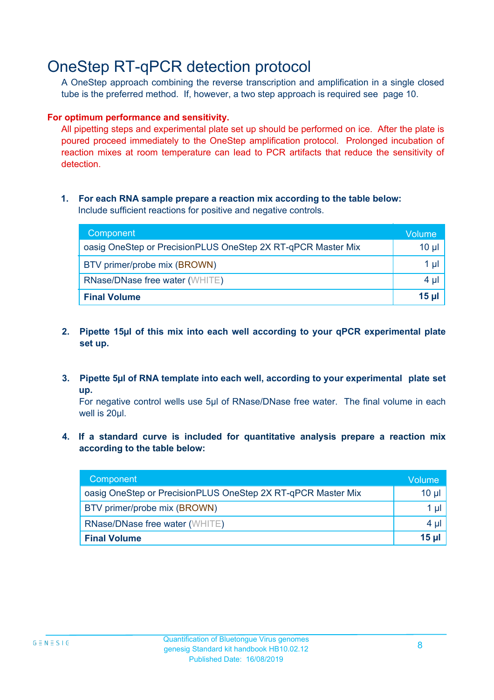## OneStep RT-qPCR detection protocol

A OneStep approach combining the reverse transcription and amplification in a single closed tube is the preferred method. If, however, a two step approach is required see page 10.

#### **For optimum performance and sensitivity.**

All pipetting steps and experimental plate set up should be performed on ice. After the plate is poured proceed immediately to the OneStep amplification protocol. Prolonged incubation of reaction mixes at room temperature can lead to PCR artifacts that reduce the sensitivity of detection.

#### **1. For each RNA sample prepare a reaction mix according to the table below:** Include sufficient reactions for positive and negative controls.

| Component                                                    | Volume       |
|--------------------------------------------------------------|--------------|
| oasig OneStep or PrecisionPLUS OneStep 2X RT-qPCR Master Mix | $10 \mu$     |
| BTV primer/probe mix (BROWN)                                 | 1 µl         |
| <b>RNase/DNase free water (WHITE)</b>                        | $4 \mu$      |
| <b>Final Volume</b>                                          | <u>15 µl</u> |

- **2. Pipette 15µl of this mix into each well according to your qPCR experimental plate set up.**
- **3. Pipette 5µl of RNA template into each well, according to your experimental plate set up.**

For negative control wells use 5µl of RNase/DNase free water. The final volume in each well is 20ul.

**4. If a standard curve is included for quantitative analysis prepare a reaction mix according to the table below:**

| Component                                                    | Volume'  |
|--------------------------------------------------------------|----------|
| oasig OneStep or PrecisionPLUS OneStep 2X RT-qPCR Master Mix | $10 \mu$ |
| BTV primer/probe mix (BROWN)                                 | 1 µI     |
| <b>RNase/DNase free water (WHITE)</b>                        | $4 \mu$  |
| <b>Final Volume</b>                                          | $15$ µ   |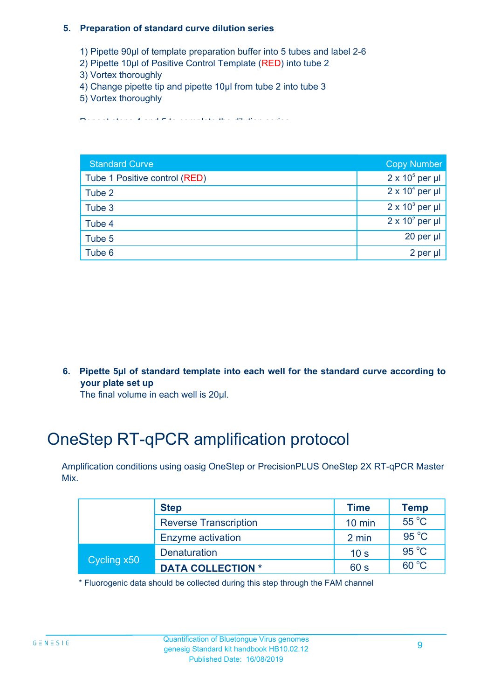#### **5. Preparation of standard curve dilution series**

- 1) Pipette 90µl of template preparation buffer into 5 tubes and label 2-6
- 2) Pipette 10µl of Positive Control Template (RED) into tube 2
- 3) Vortex thoroughly
- 4) Change pipette tip and pipette 10µl from tube 2 into tube 3
- 5) Vortex thoroughly

Repeat steps 4 and 5 to complete the dilution series

| <b>Standard Curve</b>         | <b>Copy Number</b>     |
|-------------------------------|------------------------|
| Tube 1 Positive control (RED) | $2 \times 10^5$ per µl |
| Tube 2                        | $2 \times 10^4$ per µl |
| Tube 3                        | $2 \times 10^3$ per µl |
| Tube 4                        | $2 \times 10^2$ per µl |
| Tube 5                        | 20 per $\mu$           |
| Tube 6                        | 2 per µl               |

**6. Pipette 5µl of standard template into each well for the standard curve according to your plate set up**

The final volume in each well is 20µl.

# OneStep RT-qPCR amplification protocol

Amplification conditions using oasig OneStep or PrecisionPLUS OneStep 2X RT-qPCR Master Mix.

| <b>Step</b> |                              | <b>Time</b>      | Temp           |
|-------------|------------------------------|------------------|----------------|
|             | <b>Reverse Transcription</b> | $10 \text{ min}$ | 55 °C          |
|             | Enzyme activation            | 2 min            | 95 °C          |
| Cycling x50 | <b>Denaturation</b>          | 10 <sub>s</sub>  | $95^{\circ}$ C |
|             | <b>DATA COLLECTION *</b>     | 60 s             | $60^{\circ}$ C |

\* Fluorogenic data should be collected during this step through the FAM channel